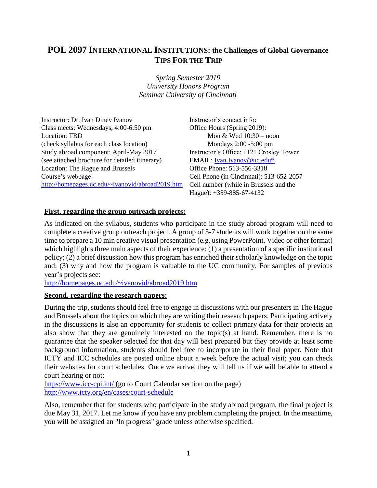# **POL 2097 INTERNATIONAL INSTITUTIONS: the Challenges of Global Governance TIPS FOR THE TRIP**

*Spring Semester 2019 University Honors Program Seminar University of Cincinnati*

Instructor: Dr. Ivan Dinev Ivanov Class meets: Wednesdays, 4:00-6:50 pm Location: TBD (check syllabus for each class location) Study abroad component: April-May 2017 (see attached brochure for detailed itinerary) Location: The Hague and Brussels Course's webpage: <http://homepages.uc.edu/~ivanovid/abroad2019.htm>

Instructor's contact info: Office Hours (Spring 2019): Mon & Wed 10:30 – noon Mondays 2:00 -5:00 pm Instructor's Office: 1121 Crosley Tower EMAIL: [Ivan.Ivanov@uc.edu\\*](mailto:Ivan.Ivanov@uc.edu*) Office Phone: 513-556-3318 Cell Phone (in Cincinnati): 513-652-2057 Cell number (while in Brussels and the Hague): +359-885-67-4132

### **First, regarding the group outreach projects:**

As indicated on the syllabus, students who participate in the study abroad program will need to complete a creative group outreach project. A group of 5-7 students will work together on the same time to prepare a 10 min creative visual presentation (e.g. using PowerPoint, Video or other format) which highlights three main aspects of their experience: (1) a presentation of a specific institutional policy; (2) a brief discussion how this program has enriched their scholarly knowledge on the topic and; (3) why and how the program is valuable to the UC community. For samples of previous year's projects see:

<http://homepages.uc.edu/~ivanovid/abroad2019.htm>

#### **Second, regarding the research papers:**

During the trip, students should feel free to engage in discussions with our presenters in The Hague and Brussels about the topics on which they are writing their research papers. Participating actively in the discussions is also an opportunity for students to collect primary data for their projects an also show that they are genuinely interested on the topic(s) at hand. Remember, there is no guarantee that the speaker selected for that day will best prepared but they provide at least some background information, students should feel free to incorporate in their final paper. Note that ICTY and ICC schedules are posted online about a week before the actual visit; you can check their websites for court schedules. Once we arrive, they will tell us if we will be able to attend a court hearing or not:

<https://www.icc-cpi.int/> (go to Court Calendar section on the page) <http://www.icty.org/en/cases/court-schedule>

Also, remember that for students who participate in the study abroad program, the final project is due May 31, 2017. Let me know if you have any problem completing the project. In the meantime, you will be assigned an "In progress" grade unless otherwise specified.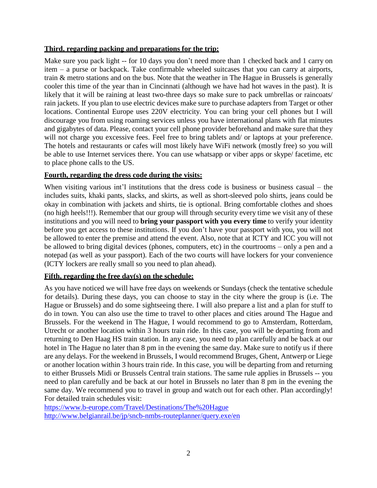### **Third, regarding packing and preparations for the trip:**

Make sure you pack light -- for 10 days you don't need more than 1 checked back and 1 carry on item – a purse or backpack. Take confirmable wheeled suitcases that you can carry at airports, train & metro stations and on the bus. Note that the weather in The Hague in Brussels is generally cooler this time of the year than in Cincinnati (although we have had hot waves in the past). It is likely that it will be raining at least two-three days so make sure to pack umbrellas or raincoats/ rain jackets. If you plan to use electric devices make sure to purchase adapters from Target or other locations. Continental Europe uses 220V electricity. You can bring your cell phones but I will discourage you from using roaming services unless you have international plans with flat minutes and gigabytes of data. Please, contact your cell phone provider beforehand and make sure that they will not charge you excessive fees. Feel free to bring tablets and/ or laptops at your preference. The hotels and restaurants or cafes will most likely have WiFi network (mostly free) so you will be able to use Internet services there. You can use whatsapp or viber apps or skype/ facetime, etc to place phone calls to the US.

### **Fourth, regarding the dress code during the visits:**

When visiting various int'l institutions that the dress code is business or business casual – the includes suits, khaki pants, slacks, and skirts, as well as short-sleeved polo shirts, jeans could be okay in combination with jackets and shirts, tie is optional. Bring comfortable clothes and shoes (no high heels!!!). Remember that our group will through security every time we visit any of these institutions and you will need to **bring your passport with you every time** to verify your identity before you get access to these institutions. If you don't have your passport with you, you will not be allowed to enter the premise and attend the event. Also, note that at ICTY and ICC you will not be allowed to bring digital devices (phones, computers, etc) in the courtrooms – only a pen and a notepad (as well as your passport). Each of the two courts will have lockers for your convenience (ICTY lockers are really small so you need to plan ahead).

## **Fifth, regarding the free day(s) on the schedule:**

As you have noticed we will have free days on weekends or Sundays (check the tentative schedule for details). During these days, you can choose to stay in the city where the group is (i.e. The Hague or Brussels) and do some sightseeing there. I will also prepare a list and a plan for stuff to do in town. You can also use the time to travel to other places and cities around The Hague and Brussels. For the weekend in The Hague, I would recommend to go to Amsterdam, Rotterdam, Utrecht or another location within 3 hours train ride. In this case, you will be departing from and returning to Den Haag HS train station. In any case, you need to plan carefully and be back at our hotel in The Hague no later than 8 pm in the evening the same day. Make sure to notify us if there are any delays. For the weekend in Brussels, I would recommend Bruges, Ghent, Antwerp or Liege or another location within 3 hours train ride. In this case, you will be departing from and returning to either Brussels Midi or Brussels Central train stations. The same rule applies in Brussels -- you need to plan carefully and be back at our hotel in Brussels no later than 8 pm in the evening the same day. We recommend you to travel in group and watch out for each other. Plan accordingly! For detailed train schedules visit:

<https://www.b-europe.com/Travel/Destinations/The%20Hague> <http://www.belgianrail.be/jp/sncb-nmbs-routeplanner/query.exe/en>